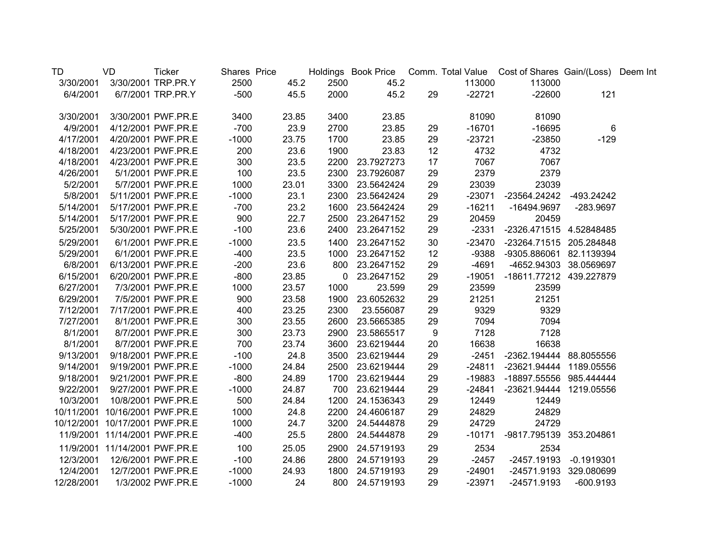| TD         | VD                             | <b>Ticker</b>      | Shares Price |       |      |                 |    |          | Holdings Book Price Comm. Total Value Cost of Shares Gain/(Loss) Deem Int |                        |  |
|------------|--------------------------------|--------------------|--------------|-------|------|-----------------|----|----------|---------------------------------------------------------------------------|------------------------|--|
| 3/30/2001  |                                | 3/30/2001 TRP.PR.Y | 2500         | 45.2  | 2500 | 45.2            |    | 113000   | 113000                                                                    |                        |  |
| 6/4/2001   |                                | 6/7/2001 TRP.PR.Y  | $-500$       | 45.5  | 2000 | 45.2            | 29 | $-22721$ | $-22600$                                                                  | 121                    |  |
| 3/30/2001  |                                | 3/30/2001 PWF.PR.E | 3400         | 23.85 | 3400 | 23.85           |    | 81090    | 81090                                                                     |                        |  |
| 4/9/2001   |                                | 4/12/2001 PWF.PR.E | $-700$       | 23.9  | 2700 | 23.85           | 29 | $-16701$ | $-16695$                                                                  | 6                      |  |
| 4/17/2001  |                                | 4/20/2001 PWF.PR.E | $-1000$      | 23.75 | 1700 | 23.85           | 29 | $-23721$ | $-23850$                                                                  | $-129$                 |  |
| 4/18/2001  |                                | 4/23/2001 PWF.PR.E | 200          | 23.6  | 1900 | 23.83           | 12 | 4732     | 4732                                                                      |                        |  |
| 4/18/2001  |                                | 4/23/2001 PWF.PR.E | 300          | 23.5  | 2200 | 23.7927273      | 17 | 7067     | 7067                                                                      |                        |  |
| 4/26/2001  |                                | 5/1/2001 PWF.PR.E  | 100          | 23.5  | 2300 | 23.7926087      | 29 | 2379     | 2379                                                                      |                        |  |
| 5/2/2001   |                                | 5/7/2001 PWF.PR.E  | 1000         | 23.01 | 3300 | 23.5642424      | 29 | 23039    | 23039                                                                     |                        |  |
| 5/8/2001   |                                | 5/11/2001 PWF.PR.E | $-1000$      | 23.1  | 2300 | 23.5642424      | 29 | $-23071$ | -23564.24242                                                              | -493.24242             |  |
| 5/14/2001  |                                | 5/17/2001 PWF.PR.E | $-700$       | 23.2  | 1600 | 23.5642424      | 29 | $-16211$ | -16494.9697                                                               | -283.9697              |  |
| 5/14/2001  |                                | 5/17/2001 PWF.PR.E | 900          | 22.7  | 2500 | 23.2647152      | 29 | 20459    | 20459                                                                     |                        |  |
| 5/25/2001  |                                | 5/30/2001 PWF.PR.E | $-100$       | 23.6  | 2400 | 23.2647152      | 29 | $-2331$  | -2326.471515 4.52848485                                                   |                        |  |
| 5/29/2001  |                                | 6/1/2001 PWF.PR.E  | $-1000$      | 23.5  | 1400 | 23.2647152      | 30 | $-23470$ | -23264.71515 205.284848                                                   |                        |  |
| 5/29/2001  |                                | 6/1/2001 PWF.PR.E  | $-400$       | 23.5  | 1000 | 23.2647152      | 12 | $-9388$  | -9305.886061 82.1139394                                                   |                        |  |
| 6/8/2001   |                                | 6/13/2001 PWF.PR.E | $-200$       | 23.6  |      | 800 23.2647152  | 29 | $-4691$  |                                                                           | -4652.94303 38.0569697 |  |
| 6/15/2001  |                                | 6/20/2001 PWF.PR.E | $-800$       | 23.85 |      | 0 23.2647152    | 29 | $-19051$ | -18611.77212 439.227879                                                   |                        |  |
| 6/27/2001  |                                | 7/3/2001 PWF.PR.E  | 1000         | 23.57 | 1000 | 23.599          | 29 | 23599    | 23599                                                                     |                        |  |
| 6/29/2001  |                                | 7/5/2001 PWF.PR.E  | 900          | 23.58 | 1900 | 23.6052632      | 29 | 21251    | 21251                                                                     |                        |  |
| 7/12/2001  |                                | 7/17/2001 PWF.PR.E | 400          | 23.25 | 2300 | 23.556087       | 29 | 9329     | 9329                                                                      |                        |  |
| 7/27/2001  |                                | 8/1/2001 PWF.PR.E  | 300          | 23.55 | 2600 | 23.5665385      | 29 | 7094     | 7094                                                                      |                        |  |
| 8/1/2001   |                                | 8/7/2001 PWF.PR.E  | 300          | 23.73 | 2900 | 23.5865517      | 9  | 7128     | 7128                                                                      |                        |  |
| 8/1/2001   |                                | 8/7/2001 PWF.PR.E  | 700          | 23.74 | 3600 | 23.6219444      | 20 | 16638    | 16638                                                                     |                        |  |
| 9/13/2001  |                                | 9/18/2001 PWF.PR.E | $-100$       | 24.8  | 3500 | 23.6219444      | 29 | $-2451$  | -2362.194444 88.8055556                                                   |                        |  |
| 9/14/2001  |                                | 9/19/2001 PWF.PR.E | $-1000$      | 24.84 | 2500 | 23.6219444      | 29 | $-24811$ | -23621.94444 1189.05556                                                   |                        |  |
| 9/18/2001  |                                | 9/21/2001 PWF.PR.E | $-800$       | 24.89 |      | 1700 23.6219444 | 29 | $-19883$ | -18897.55556 985.444444                                                   |                        |  |
| 9/22/2001  |                                | 9/27/2001 PWF.PR.E | $-1000$      | 24.87 |      | 700 23.6219444  | 29 | $-24841$ | -23621.94444 1219.05556                                                   |                        |  |
| 10/3/2001  |                                | 10/8/2001 PWF.PR.E | 500          | 24.84 | 1200 | 24.1536343      | 29 | 12449    | 12449                                                                     |                        |  |
|            | 10/11/2001 10/16/2001 PWF.PR.E |                    | 1000         | 24.8  | 2200 | 24.4606187      | 29 | 24829    | 24829                                                                     |                        |  |
|            | 10/12/2001 10/17/2001 PWF.PR.E |                    | 1000         | 24.7  | 3200 | 24.5444878      | 29 | 24729    | 24729                                                                     |                        |  |
|            | 11/9/2001 11/14/2001 PWF.PR.E  |                    | $-400$       | 25.5  | 2800 | 24.5444878      | 29 | $-10171$ | -9817.795139 353.204861                                                   |                        |  |
|            | 11/9/2001 11/14/2001 PWF.PR.E  |                    | 100          | 25.05 |      | 2900 24.5719193 | 29 | 2534     | 2534                                                                      |                        |  |
| 12/3/2001  | 12/6/2001 PWF.PR.E             |                    | $-100$       | 24.86 |      | 2800 24.5719193 | 29 | $-2457$  |                                                                           | -2457.19193 -0.1919301 |  |
| 12/4/2001  |                                | 12/7/2001 PWF.PR.E | $-1000$      | 24.93 |      | 1800 24.5719193 | 29 | $-24901$ |                                                                           | -24571.9193 329.080699 |  |
| 12/28/2001 |                                | 1/3/2002 PWF.PR.E  | $-1000$      | 24    |      | 800 24.5719193  | 29 | $-23971$ | -24571.9193                                                               | $-600.9193$            |  |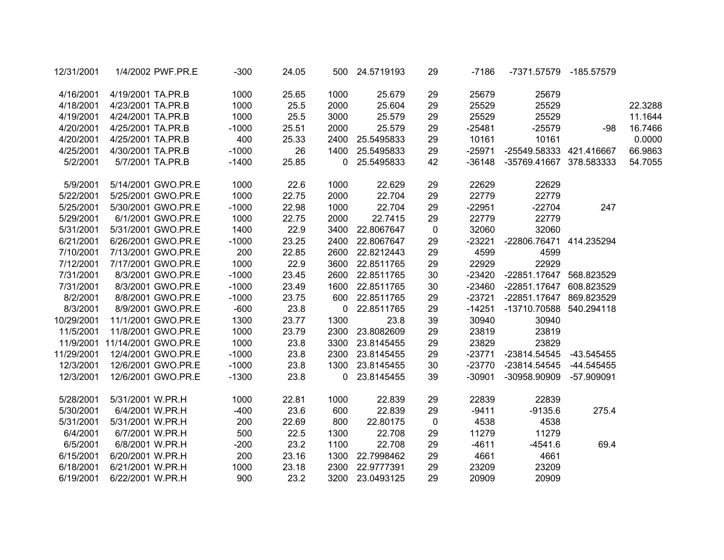| 12/31/2001 | 1/4/2002 PWF.PR.E             | $-300$  | 24.05 |             | 500 24.5719193  | 29          | -7186    | -7371.57579 -185.57579         |       |         |
|------------|-------------------------------|---------|-------|-------------|-----------------|-------------|----------|--------------------------------|-------|---------|
| 4/16/2001  | 4/19/2001 TA.PR.B             | 1000    | 25.65 | 1000        | 25.679          | 29          | 25679    | 25679                          |       |         |
| 4/18/2001  | 4/23/2001 TA.PR.B             | 1000    | 25.5  | 2000        | 25.604          | 29          | 25529    | 25529                          |       | 22.3288 |
| 4/19/2001  | 4/24/2001 TA.PR.B             | 1000    | 25.5  | 3000        | 25.579          | 29          | 25529    | 25529                          |       | 11.1644 |
| 4/20/2001  | 4/25/2001 TA.PR.B             | $-1000$ | 25.51 | 2000        | 25.579          | 29          | $-25481$ | $-25579$                       | -98   | 16.7466 |
| 4/20/2001  | 4/25/2001 TA.PR.B             | 400     | 25.33 |             | 2400 25.5495833 | 29          | 10161    | 10161                          |       | 0.0000  |
| 4/25/2001  | 4/30/2001 TA.PR.B             | $-1000$ | 26    |             | 1400 25.5495833 | 29          | $-25971$ | -25549.58333 421.416667        |       | 66.9863 |
| 5/2/2001   | 5/7/2001 TA.PR.B              | $-1400$ | 25.85 |             | 0 25.5495833    | 42          |          | -36148 -35769.41667 378.583333 |       | 54.7055 |
| 5/9/2001   | 5/14/2001 GWO.PR.E            | 1000    | 22.6  | 1000        | 22.629          | 29          | 22629    | 22629                          |       |         |
| 5/22/2001  | 5/25/2001 GWO.PR.E            | 1000    | 22.75 | 2000        | 22.704          | 29          | 22779    | 22779                          |       |         |
| 5/25/2001  | 5/30/2001 GWO.PR.E            | $-1000$ | 22.98 | 1000        | 22.704          | 29          | $-22951$ | $-22704$                       | 247   |         |
| 5/29/2001  | 6/1/2001 GWO.PR.E             | 1000    | 22.75 | 2000        | 22.7415         | 29          | 22779    | 22779                          |       |         |
| 5/31/2001  | 5/31/2001 GWO.PR.E            | 1400    | 22.9  |             | 3400 22.8067647 | $\mathbf 0$ | 32060    | 32060                          |       |         |
| 6/21/2001  | 6/26/2001 GWO.PR.E            | $-1000$ | 23.25 |             | 2400 22.8067647 | 29          |          | -23221 -22806.76471 414.235294 |       |         |
| 7/10/2001  | 7/13/2001 GWO.PR.E            | 200     | 22.85 |             | 2600 22.8212443 | 29          | 4599     | 4599                           |       |         |
| 7/12/2001  | 7/17/2001 GWO.PR.E            | 1000    | 22.9  | 3600        | 22.8511765      | 29          | 22929    | 22929                          |       |         |
| 7/31/2001  | 8/3/2001 GWO.PR.E             | $-1000$ | 23.45 | 2600        | 22.8511765      | 30          |          | -23420 -22851.17647 568.823529 |       |         |
| 7/31/2001  | 8/3/2001 GWO.PR.E             | $-1000$ | 23.49 |             | 1600 22.8511765 | 30          |          | -23460 -22851.17647 608.823529 |       |         |
| 8/2/2001   | 8/8/2001 GWO.PR.E             | $-1000$ | 23.75 |             | 600 22.8511765  | 29          | $-23721$ | -22851.17647 869.823529        |       |         |
| 8/3/2001   | 8/9/2001 GWO.PR.E             | $-600$  | 23.8  | $\mathbf 0$ | 22.8511765      | 29          | $-14251$ | -13710.70588 540.294118        |       |         |
| 10/29/2001 | 11/1/2001 GWO.PR.E            | 1300    | 23.77 | 1300        | 23.8            | 39          | 30940    | 30940                          |       |         |
| 11/5/2001  | 11/8/2001 GWO.PR.E            | 1000    | 23.79 |             | 2300 23.8082609 | 29          | 23819    | 23819                          |       |         |
|            | 11/9/2001 11/14/2001 GWO.PR.E | 1000    | 23.8  |             | 3300 23.8145455 | 29          | 23829    | 23829                          |       |         |
| 11/29/2001 | 12/4/2001 GWO.PR.E            | $-1000$ | 23.8  |             | 2300 23.8145455 | 29          | $-23771$ | -23814.54545 -43.545455        |       |         |
| 12/3/2001  | 12/6/2001 GWO.PR.E            | $-1000$ | 23.8  |             | 1300 23.8145455 | 30          |          | -23770 -23814.54545 -44.545455 |       |         |
| 12/3/2001  | 12/6/2001 GWO.PR.E            | $-1300$ | 23.8  |             | 0 23.8145455    | 39          | $-30901$ | -30958.90909 -57.909091        |       |         |
| 5/28/2001  | 5/31/2001 W.PR.H              | 1000    | 22.81 | 1000        | 22.839          | 29          | 22839    | 22839                          |       |         |
| 5/30/2001  | 6/4/2001 W.PR.H               | $-400$  | 23.6  | 600         | 22.839          | 29          | $-9411$  | $-9135.6$                      | 275.4 |         |
| 5/31/2001  | 5/31/2001 W.PR.H              | 200     | 22.69 | 800         | 22.80175        | $\mathbf 0$ | 4538     | 4538                           |       |         |
| 6/4/2001   | 6/7/2001 W.PR.H               | 500     | 22.5  | 1300        | 22.708          | 29          | 11279    | 11279                          |       |         |
| 6/5/2001   | 6/8/2001 W.PR.H               | $-200$  | 23.2  | 1100        | 22.708          | 29          | $-4611$  | $-4541.6$                      | 69.4  |         |
| 6/15/2001  | 6/20/2001 W.PR.H              | 200     | 23.16 |             | 1300 22.7998462 | 29          | 4661     | 4661                           |       |         |
| 6/18/2001  | 6/21/2001 W.PR.H              | 1000    | 23.18 |             | 2300 22.9777391 | 29          | 23209    | 23209                          |       |         |
| 6/19/2001  | 6/22/2001 W.PR.H              | 900     | 23.2  |             | 3200 23.0493125 | 29          | 20909    | 20909                          |       |         |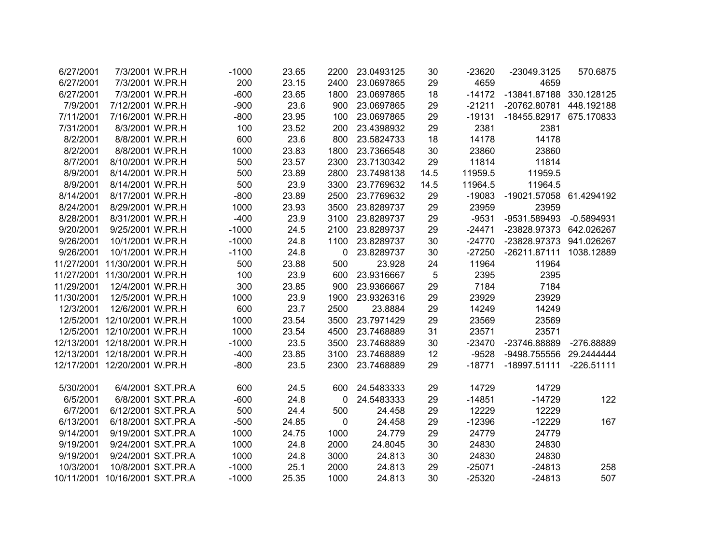| 6/27/2001  | 7/3/2001 W.PR.H                |                    | $-1000$ | 23.65 | 2200         | 23.0493125     | 30   | $-23620$ | -23049.3125             | 570.6875     |
|------------|--------------------------------|--------------------|---------|-------|--------------|----------------|------|----------|-------------------------|--------------|
| 6/27/2001  | 7/3/2001 W.PR.H                |                    | 200     | 23.15 | 2400         | 23.0697865     | 29   | 4659     | 4659                    |              |
| 6/27/2001  | 7/3/2001 W.PR.H                |                    | $-600$  | 23.65 | 1800         | 23.0697865     | 18   | $-14172$ | -13841.87188 330.128125 |              |
| 7/9/2001   | 7/12/2001 W.PR.H               |                    | $-900$  | 23.6  | 900          | 23.0697865     | 29   | $-21211$ | -20762.80781 448.192188 |              |
| 7/11/2001  | 7/16/2001 W.PR.H               |                    | $-800$  | 23.95 | 100          | 23.0697865     | 29   | $-19131$ | -18455.82917 675.170833 |              |
| 7/31/2001  | 8/3/2001 W.PR.H                |                    | 100     | 23.52 | 200          | 23.4398932     | 29   | 2381     | 2381                    |              |
| 8/2/2001   | 8/8/2001 W.PR.H                |                    | 600     | 23.6  | 800          | 23.5824733     | 18   | 14178    | 14178                   |              |
| 8/2/2001   | 8/8/2001 W.PR.H                |                    | 1000    | 23.83 | 1800         | 23.7366548     | 30   | 23860    | 23860                   |              |
| 8/7/2001   | 8/10/2001 W.PR.H               |                    | 500     | 23.57 | 2300         | 23.7130342     | 29   | 11814    | 11814                   |              |
| 8/9/2001   | 8/14/2001 W.PR.H               |                    | 500     | 23.89 | 2800         | 23.7498138     | 14.5 | 11959.5  | 11959.5                 |              |
| 8/9/2001   | 8/14/2001 W.PR.H               |                    | 500     | 23.9  | 3300         | 23.7769632     | 14.5 | 11964.5  | 11964.5                 |              |
| 8/14/2001  | 8/17/2001 W.PR.H               |                    | $-800$  | 23.89 | 2500         | 23.7769632     | 29   | $-19083$ | -19021.57058            | 61.4294192   |
| 8/24/2001  | 8/29/2001 W.PR.H               |                    | 1000    | 23.93 | 3500         | 23.8289737     | 29   | 23959    | 23959                   |              |
| 8/28/2001  | 8/31/2001 W.PR.H               |                    | $-400$  | 23.9  | 3100         | 23.8289737     | 29   | $-9531$  | -9531.589493            | $-0.5894931$ |
| 9/20/2001  | 9/25/2001 W.PR.H               |                    | $-1000$ | 24.5  | 2100         | 23.8289737     | 29   | $-24471$ | -23828.97373 642.026267 |              |
| 9/26/2001  | 10/1/2001 W.PR.H               |                    | $-1000$ | 24.8  | 1100         | 23.8289737     | 30   | -24770   | -23828.97373 941.026267 |              |
| 9/26/2001  | 10/1/2001 W.PR.H               |                    | $-1100$ | 24.8  | $\mathbf 0$  | 23.8289737     | 30   | $-27250$ | $-26211.87111$          | 1038.12889   |
|            | 11/27/2001 11/30/2001 W.PR.H   |                    | 500     | 23.88 | 500          | 23.928         | 24   | 11964    | 11964                   |              |
|            | 11/27/2001 11/30/2001 W.PR.H   |                    | 100     | 23.9  | 600          | 23.9316667     | 5    | 2395     | 2395                    |              |
| 11/29/2001 | 12/4/2001 W.PR.H               |                    | 300     | 23.85 | 900          | 23.9366667     | 29   | 7184     | 7184                    |              |
| 11/30/2001 | 12/5/2001 W.PR.H               |                    | 1000    | 23.9  | 1900         | 23.9326316     | 29   | 23929    | 23929                   |              |
| 12/3/2001  | 12/6/2001 W.PR.H               |                    | 600     | 23.7  | 2500         | 23.8884        | 29   | 14249    | 14249                   |              |
|            | 12/5/2001 12/10/2001 W.PR.H    |                    | 1000    | 23.54 | 3500         | 23.7971429     | 29   | 23569    | 23569                   |              |
|            | 12/5/2001 12/10/2001 W.PR.H    |                    | 1000    | 23.54 | 4500         | 23.7468889     | 31   | 23571    | 23571                   |              |
|            | 12/13/2001 12/18/2001 W.PR.H   |                    | $-1000$ | 23.5  | 3500         | 23.7468889     | 30   | -23470   | -23746.88889            | -276.88889   |
|            | 12/13/2001 12/18/2001 W.PR.H   |                    | $-400$  | 23.85 | 3100         | 23.7468889     | 12   | $-9528$  | -9498.755556 29.2444444 |              |
|            | 12/17/2001 12/20/2001 W.PR.H   |                    | $-800$  | 23.5  | 2300         | 23.7468889     | 29   | $-18771$ | -18997.51111 -226.51111 |              |
| 5/30/2001  |                                | 6/4/2001 SXT.PR.A  | 600     | 24.5  |              | 600 24.5483333 | 29   | 14729    | 14729                   |              |
| 6/5/2001   |                                | 6/8/2001 SXT.PR.A  | $-600$  | 24.8  | $\mathbf{0}$ | 24.5483333     | 29   | $-14851$ | $-14729$                | 122          |
| 6/7/2001   |                                | 6/12/2001 SXT.PR.A | 500     | 24.4  | 500          | 24.458         | 29   | 12229    | 12229                   |              |
| 6/13/2001  |                                | 6/18/2001 SXT.PR.A | $-500$  | 24.85 | $\mathbf 0$  | 24.458         | 29   | $-12396$ | $-12229$                | 167          |
| 9/14/2001  |                                | 9/19/2001 SXT.PR.A | 1000    | 24.75 | 1000         | 24.779         | 29   | 24779    | 24779                   |              |
| 9/19/2001  |                                | 9/24/2001 SXT.PR.A | 1000    | 24.8  | 2000         | 24.8045        | 30   | 24830    | 24830                   |              |
| 9/19/2001  |                                | 9/24/2001 SXT.PR.A | 1000    | 24.8  | 3000         | 24.813         | 30   | 24830    | 24830                   |              |
| 10/3/2001  |                                | 10/8/2001 SXT.PR.A | $-1000$ | 25.1  | 2000         | 24.813         | 29   | $-25071$ | $-24813$                | 258          |
|            | 10/11/2001 10/16/2001 SXT.PR.A |                    | $-1000$ | 25.35 | 1000         | 24.813         | 30   | $-25320$ | $-24813$                | 507          |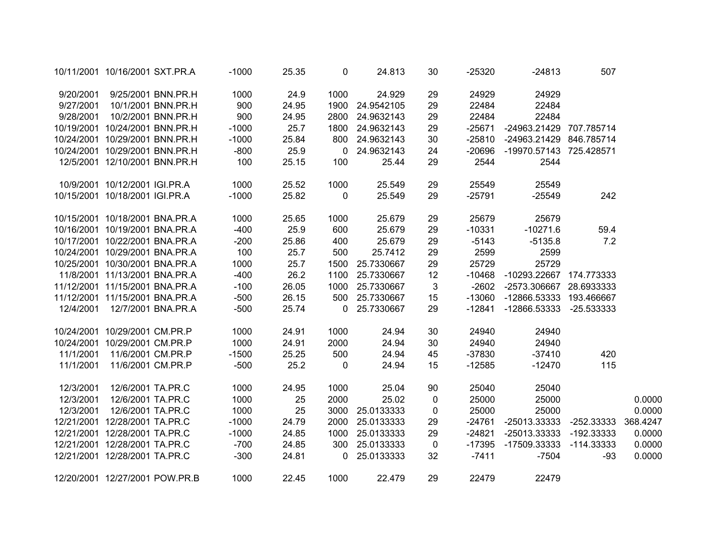|           | 10/11/2001 10/16/2001 SXT.PR.A |                                | $-1000$ | 25.35 | 0              | 24.813          | 30           | $-25320$ | $-24813$                       | 507   |          |
|-----------|--------------------------------|--------------------------------|---------|-------|----------------|-----------------|--------------|----------|--------------------------------|-------|----------|
| 9/20/2001 |                                | 9/25/2001 BNN.PR.H             | 1000    | 24.9  | 1000           | 24.929          | 29           | 24929    | 24929                          |       |          |
| 9/27/2001 |                                | 10/1/2001 BNN.PR.H             | 900     | 24.95 |                | 1900 24.9542105 | 29           | 22484    | 22484                          |       |          |
| 9/28/2001 |                                | 10/2/2001 BNN.PR.H             | 900     | 24.95 |                | 2800 24.9632143 | 29           | 22484    | 22484                          |       |          |
|           | 10/19/2001 10/24/2001 BNN.PR.H |                                | $-1000$ | 25.7  |                | 1800 24.9632143 | 29           | $-25671$ | -24963.21429 707.785714        |       |          |
|           | 10/24/2001 10/29/2001 BNN.PR.H |                                | $-1000$ | 25.84 |                | 800 24.9632143  | 30           | $-25810$ | -24963.21429 846.785714        |       |          |
|           | 10/24/2001 10/29/2001 BNN.PR.H |                                | $-800$  | 25.9  | $\overline{0}$ | 24.9632143      | 24           | -20696   | -19970.57143 725.428571        |       |          |
|           | 12/5/2001 12/10/2001 BNN.PR.H  |                                | 100     | 25.15 | 100            | 25.44           | 29           | 2544     | 2544                           |       |          |
|           | 10/9/2001 10/12/2001 IGI.PR.A  |                                | 1000    | 25.52 | 1000           | 25.549          | 29           | 25549    | 25549                          |       |          |
|           | 10/15/2001 10/18/2001 IGI.PR.A |                                | $-1000$ | 25.82 | $\mathbf 0$    | 25.549          | 29           | $-25791$ | $-25549$                       | 242   |          |
|           | 10/15/2001 10/18/2001 BNA.PR.A |                                | 1000    | 25.65 | 1000           | 25.679          | 29           | 25679    | 25679                          |       |          |
|           | 10/16/2001 10/19/2001 BNA.PR.A |                                | $-400$  | 25.9  | 600            | 25.679          | 29           | $-10331$ | $-10271.6$                     | 59.4  |          |
|           | 10/17/2001 10/22/2001 BNA.PR.A |                                | $-200$  | 25.86 | 400            | 25.679          | 29           | $-5143$  | $-5135.8$                      | 7.2   |          |
|           | 10/24/2001 10/29/2001 BNA.PR.A |                                | 100     | 25.7  | 500            | 25.7412         | 29           | 2599     | 2599                           |       |          |
|           | 10/25/2001 10/30/2001 BNA.PR.A |                                | 1000    | 25.7  |                | 1500 25.7330667 | 29           | 25729    | 25729                          |       |          |
|           | 11/8/2001 11/13/2001 BNA.PR.A  |                                | $-400$  | 26.2  | 1100           | 25.7330667      | 12           |          | -10468 -10293.22667 174.773333 |       |          |
|           | 11/12/2001 11/15/2001 BNA.PR.A |                                | $-100$  | 26.05 | 1000           | 25.7330667      | $\mathbf{3}$ |          | -2602 -2573.306667 28.6933333  |       |          |
|           | 11/12/2001 11/15/2001 BNA.PR.A |                                | $-500$  | 26.15 |                | 500 25.7330667  | 15           |          | -13060 -12866.53333 193.466667 |       |          |
|           | 12/4/2001  12/7/2001 BNA.PR.A  |                                | $-500$  | 25.74 |                | 0 25.7330667    | 29           | -12841   | -12866.53333 -25.533333        |       |          |
|           | 10/24/2001 10/29/2001 CM.PR.P  |                                | 1000    | 24.91 | 1000           | 24.94           | 30           | 24940    | 24940                          |       |          |
|           | 10/24/2001 10/29/2001 CM.PR.P  |                                | 1000    | 24.91 | 2000           | 24.94           | 30           | 24940    | 24940                          |       |          |
| 11/1/2001 | 11/6/2001 CM.PR.P              |                                | $-1500$ | 25.25 | 500            | 24.94           | 45           | $-37830$ | $-37410$                       | 420   |          |
| 11/1/2001 | 11/6/2001 CM.PR.P              |                                | $-500$  | 25.2  | $\mathbf 0$    | 24.94           | 15           | $-12585$ | $-12470$                       | 115   |          |
| 12/3/2001 | 12/6/2001 TA.PR.C              |                                | 1000    | 24.95 | 1000           | 25.04           | 90           | 25040    | 25040                          |       |          |
| 12/3/2001 | 12/6/2001 TA.PR.C              |                                | 1000    | 25    | 2000           | 25.02           | $\mathbf 0$  | 25000    | 25000                          |       | 0.0000   |
| 12/3/2001 | 12/6/2001 TA.PR.C              |                                | 1000    | 25    |                | 3000 25.0133333 | $\mathbf 0$  | 25000    | 25000                          |       | 0.0000   |
|           | 12/21/2001 12/28/2001 TA.PR.C  |                                | $-1000$ | 24.79 |                | 2000 25.0133333 | 29           | -24761   | -25013.33333 -252.33333        |       | 368.4247 |
|           | 12/21/2001 12/28/2001 TA.PR.C  |                                | $-1000$ | 24.85 | 1000           | 25.0133333      | 29           | $-24821$ | -25013.33333 -192.33333        |       | 0.0000   |
|           | 12/21/2001 12/28/2001 TA.PR.C  |                                | $-700$  | 24.85 |                | 300 25.0133333  | $\mathbf 0$  |          | -17395 -17509.33333 -114.33333 |       | 0.0000   |
|           | 12/21/2001 12/28/2001 TA.PR.C  |                                | $-300$  | 24.81 |                | 0 25.0133333    | 32           | $-7411$  | $-7504$                        | $-93$ | 0.0000   |
|           |                                | 12/20/2001 12/27/2001 POW.PR.B | 1000    | 22.45 | 1000           | 22.479          | 29           | 22479    | 22479                          |       |          |